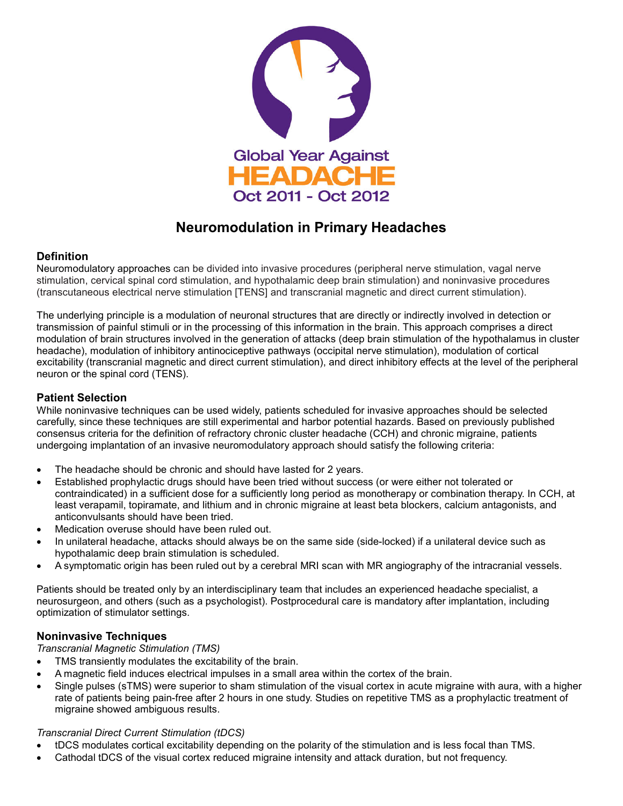

# **Neuromodulation in Primary Headaches**

## **Definition**

Neuromodulatory approaches can be divided into invasive procedures (peripheral nerve stimulation, vagal nerve stimulation, cervical spinal cord stimulation, and hypothalamic deep brain stimulation) and noninvasive procedures (transcutaneous electrical nerve stimulation [TENS] and transcranial magnetic and direct current stimulation).

The underlying principle is a modulation of neuronal structures that are directly or indirectly involved in detection or transmission of painful stimuli or in the processing of this information in the brain. This approach comprises a direct modulation of brain structures involved in the generation of attacks (deep brain stimulation of the hypothalamus in cluster headache), modulation of inhibitory antinociceptive pathways (occipital nerve stimulation), modulation of cortical excitability (transcranial magnetic and direct current stimulation), and direct inhibitory effects at the level of the peripheral neuron or the spinal cord (TENS).

## **Patient Selection**

While noninvasive techniques can be used widely, patients scheduled for invasive approaches should be selected carefully, since these techniques are still experimental and harbor potential hazards. Based on previously published consensus criteria for the definition of refractory chronic cluster headache (CCH) and chronic migraine, patients undergoing implantation of an invasive neuromodulatory approach should satisfy the following criteria:

- The headache should be chronic and should have lasted for 2 years.
- Established prophylactic drugs should have been tried without success (or were either not tolerated or contraindicated) in a sufficient dose for a sufficiently long period as monotherapy or combination therapy. In CCH, at least verapamil, topiramate, and lithium and in chronic migraine at least beta blockers, calcium antagonists, and anticonvulsants should have been tried.
- Medication overuse should have been ruled out.
- In unilateral headache, attacks should always be on the same side (side-locked) if a unilateral device such as hypothalamic deep brain stimulation is scheduled.
- A symptomatic origin has been ruled out by a cerebral MRI scan with MR angiography of the intracranial vessels.

Patients should be treated only by an interdisciplinary team that includes an experienced headache specialist, a neurosurgeon, and others (such as a psychologist). Postprocedural care is mandatory after implantation, including optimization of stimulator settings.

### **Noninvasive Techniques**

*Transcranial Magnetic Stimulation (TMS)* 

- TMS transiently modulates the excitability of the brain.
- A magnetic field induces electrical impulses in a small area within the cortex of the brain.
- Single pulses (sTMS) were superior to sham stimulation of the visual cortex in acute migraine with aura, with a higher rate of patients being pain-free after 2 hours in one study. Studies on repetitive TMS as a prophylactic treatment of migraine showed ambiguous results.

### *Transcranial Direct Current Stimulation (tDCS)*

- tDCS modulates cortical excitability depending on the polarity of the stimulation and is less focal than TMS.
- Cathodal tDCS of the visual cortex reduced migraine intensity and attack duration, but not frequency.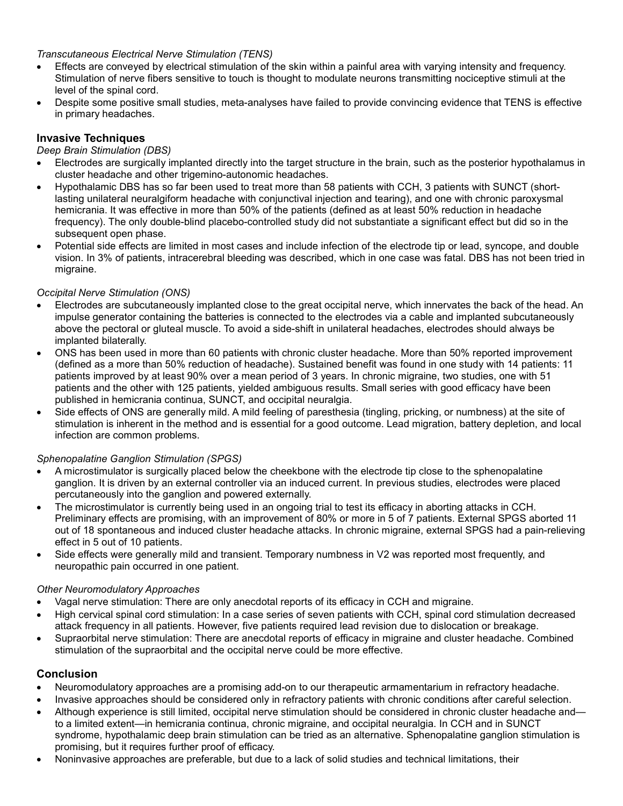### *Transcutaneous Electrical Nerve Stimulation (TENS)*

- Effects are conveyed by electrical stimulation of the skin within a painful area with varying intensity and frequency. Stimulation of nerve fibers sensitive to touch is thought to modulate neurons transmitting nociceptive stimuli at the level of the spinal cord.
- Despite some positive small studies, meta-analyses have failed to provide convincing evidence that TENS is effective in primary headaches.

## **Invasive Techniques**

*Deep Brain Stimulation (DBS)* 

- Electrodes are surgically implanted directly into the target structure in the brain, such as the posterior hypothalamus in cluster headache and other trigemino-autonomic headaches.
- Hypothalamic DBS has so far been used to treat more than 58 patients with CCH, 3 patients with SUNCT (shortlasting unilateral neuralgiform headache with conjunctival injection and tearing), and one with chronic paroxysmal hemicrania. It was effective in more than 50% of the patients (defined as at least 50% reduction in headache frequency). The only double-blind placebo-controlled study did not substantiate a significant effect but did so in the subsequent open phase.
- Potential side effects are limited in most cases and include infection of the electrode tip or lead, syncope, and double vision. In 3% of patients, intracerebral bleeding was described, which in one case was fatal. DBS has not been tried in migraine.

## *Occipital Nerve Stimulation (ONS)*

- Electrodes are subcutaneously implanted close to the great occipital nerve, which innervates the back of the head. An impulse generator containing the batteries is connected to the electrodes via a cable and implanted subcutaneously above the pectoral or gluteal muscle. To avoid a side-shift in unilateral headaches, electrodes should always be implanted bilaterally.
- ONS has been used in more than 60 patients with chronic cluster headache. More than 50% reported improvement (defined as a more than 50% reduction of headache). Sustained benefit was found in one study with 14 patients: 11 patients improved by at least 90% over a mean period of 3 years. In chronic migraine, two studies, one with 51 patients and the other with 125 patients, yielded ambiguous results. Small series with good efficacy have been published in hemicrania continua, SUNCT, and occipital neuralgia.
- Side effects of ONS are generally mild. A mild feeling of paresthesia (tingling, pricking, or numbness) at the site of stimulation is inherent in the method and is essential for a good outcome. Lead migration, battery depletion, and local infection are common problems.

### *Sphenopalatine Ganglion Stimulation (SPGS)*

- A microstimulator is surgically placed below the cheekbone with the electrode tip close to the sphenopalatine ganglion. It is driven by an external controller via an induced current. In previous studies, electrodes were placed percutaneously into the ganglion and powered externally.
- The microstimulator is currently being used in an ongoing trial to test its efficacy in aborting attacks in CCH. Preliminary effects are promising, with an improvement of 80% or more in 5 of 7 patients. External SPGS aborted 11 out of 18 spontaneous and induced cluster headache attacks. In chronic migraine, external SPGS had a pain-relieving effect in 5 out of 10 patients.
- Side effects were generally mild and transient. Temporary numbness in V2 was reported most frequently, and neuropathic pain occurred in one patient.

### *Other Neuromodulatory Approaches*

- Vagal nerve stimulation: There are only anecdotal reports of its efficacy in CCH and migraine.
- High cervical spinal cord stimulation: In a case series of seven patients with CCH, spinal cord stimulation decreased attack frequency in all patients. However, five patients required lead revision due to dislocation or breakage.
- Supraorbital nerve stimulation: There are anecdotal reports of efficacy in migraine and cluster headache. Combined stimulation of the supraorbital and the occipital nerve could be more effective.

## **Conclusion**

- Neuromodulatory approaches are a promising add-on to our therapeutic armamentarium in refractory headache.
- Invasive approaches should be considered only in refractory patients with chronic conditions after careful selection.
- Although experience is still limited, occipital nerve stimulation should be considered in chronic cluster headache and to a limited extent—in hemicrania continua, chronic migraine, and occipital neuralgia. In CCH and in SUNCT syndrome, hypothalamic deep brain stimulation can be tried as an alternative. Sphenopalatine ganglion stimulation is promising, but it requires further proof of efficacy.
- Noninvasive approaches are preferable, but due to a lack of solid studies and technical limitations, their